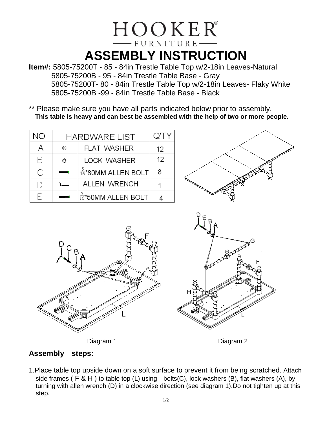## HOOKER®  $-$  FURNITURE $-$ **ASSEMBLY INSTRUCTION**

**Item#:** 5805-75200T - 85 - 84in Trestle Table Top w/2-18in Leaves-Natural 5805-75200B - 95 - 84in Trestle Table Base - Gray 5805-75200T- 80 - 84in Trestle Table Top w/2-18in Leaves- Flaky White 5805-75200B -99 - 84in Trestle Table Base - Black

\*\* Please make sure you have all parts indicated below prior to assembly. **This table is heavy and can best be assembled with the help of two or more people.**

| NO | <b>HARDWARE LIST</b> |                                 | Q'TY |
|----|----------------------|---------------------------------|------|
| А  | ⊚                    | <b>FLAT WASHER</b>              | 12   |
| R  | ⊙                    | <b>LOCK WASHER</b>              | 12   |
| C. |                      | $\frac{5}{16}$ *80MM ALLEN BOLT |      |
|    |                      | ALLEN WRENCH                    |      |
| F  |                      | $\frac{5}{16}$ *50MM ALLEN BOLT |      |





Diagram 1

Diagram 2

## **Assembly steps:**

1.Place table top upside down on a soft surface to prevent it from being scratched. Attach side frames ( $F \& H$ ) to table top (L) using bolts(C), lock washers (B), flat washers (A), by turning with allen wrench (D) in a clockwise direction (see diagram 1).Do not tighten up at this step.